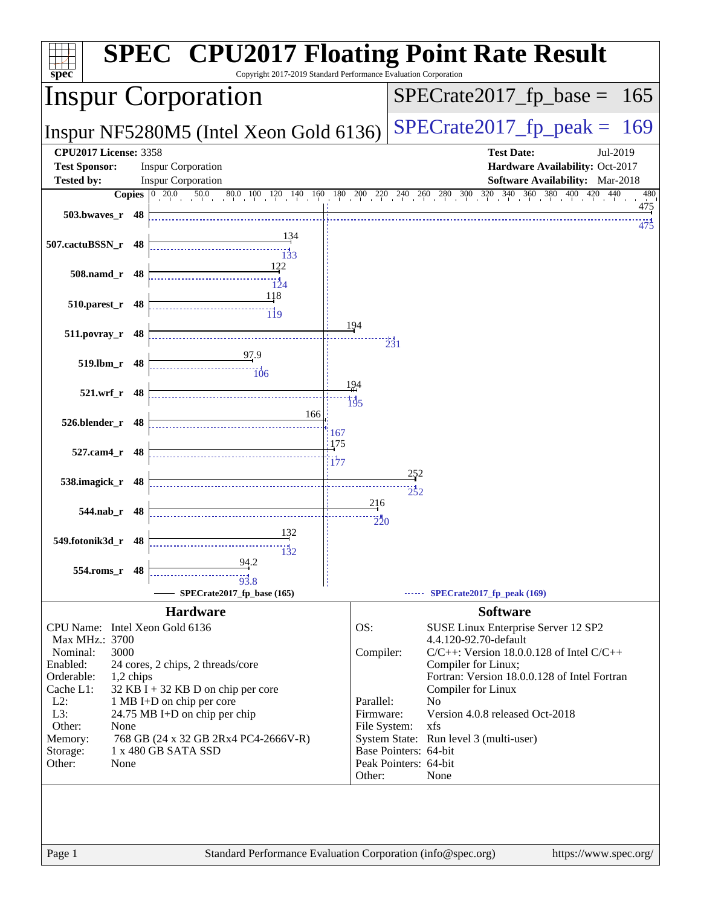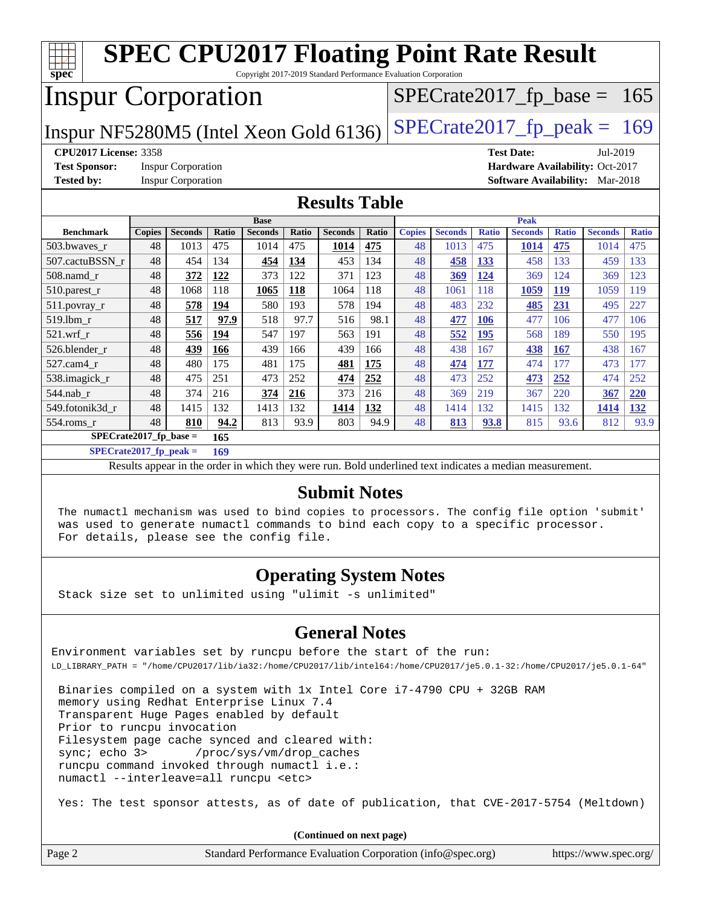| <b>SPEC CPU2017 Floating Point Rate Result</b>                                                                                              |                                                                       |                           |       |                |              |                |              |               |                |              |                                        |              |                |              |
|---------------------------------------------------------------------------------------------------------------------------------------------|-----------------------------------------------------------------------|---------------------------|-------|----------------|--------------|----------------|--------------|---------------|----------------|--------------|----------------------------------------|--------------|----------------|--------------|
| $s\overline{p}\overline{e}\overline{c}$<br>Copyright 2017-2019 Standard Performance Evaluation Corporation<br>$SPECrate2017_fp\_base = 165$ |                                                                       |                           |       |                |              |                |              |               |                |              |                                        |              |                |              |
|                                                                                                                                             | <b>Inspur Corporation</b>                                             |                           |       |                |              |                |              |               |                |              |                                        |              |                |              |
| $SPECTate2017$ _fp_peak = 169<br>Inspur NF5280M5 (Intel Xeon Gold 6136)                                                                     |                                                                       |                           |       |                |              |                |              |               |                |              |                                        |              |                |              |
| <b>CPU2017 License: 3358</b><br><b>Test Date:</b><br>Jul-2019                                                                               |                                                                       |                           |       |                |              |                |              |               |                |              |                                        |              |                |              |
| <b>Test Sponsor:</b>                                                                                                                        | <b>Inspur Corporation</b><br>Hardware Availability: Oct-2017          |                           |       |                |              |                |              |               |                |              |                                        |              |                |              |
| <b>Tested by:</b>                                                                                                                           |                                                                       | <b>Inspur Corporation</b> |       |                |              |                |              |               |                |              | <b>Software Availability:</b> Mar-2018 |              |                |              |
| <b>Results Table</b>                                                                                                                        |                                                                       |                           |       |                |              |                |              |               |                |              |                                        |              |                |              |
|                                                                                                                                             |                                                                       |                           |       | <b>Base</b>    |              |                |              |               |                |              | <b>Peak</b>                            |              |                |              |
| <b>Benchmark</b>                                                                                                                            | Copies                                                                | <b>Seconds</b>            | Ratio | <b>Seconds</b> | <b>Ratio</b> | <b>Seconds</b> | <b>Ratio</b> | <b>Copies</b> | <b>Seconds</b> | <b>Ratio</b> | <b>Seconds</b>                         | <b>Ratio</b> | <b>Seconds</b> | <b>Ratio</b> |
| 503.bwaves_r                                                                                                                                | 48                                                                    | 1013                      | 475   | 1014           | 475          | 1014           | 475          | 48            | 1013           | 475          | 1014                                   | 475          | 1014           | 475          |
| 507.cactuBSSN_r                                                                                                                             | 48                                                                    | 454                       | 134   | 454            | 134          | 453            | 134          | 48            | 458            | 133          | 458                                    | 133          | 459            | 133          |
| 508.namd_r                                                                                                                                  | 48                                                                    | 372                       | 122   | 373            | 122          | 371            | 123          | 48            | 369            | 124          | 369                                    | 124          | 369            | 123          |
| 510.parest_r                                                                                                                                | 48                                                                    | 1068                      | 118   | 1065           | 118          | 1064           | 118          | 48            | 1061           | 118          | 1059                                   | 119          | 1059           | 119          |
| $511.$ povray_r                                                                                                                             | 48                                                                    | 578                       | 194   | 580            | 193          | 578            | 194          | 48            | 483            | 232          | 485                                    | 231          | 495            | 227          |
| 519.lbm r                                                                                                                                   | 48                                                                    | 517                       | 97.9  | 518            | 97.7         | 516            | 98.1         | 48            | 477            | 106          | 477                                    | 106          | 477            | 106          |
| 521.wrf r                                                                                                                                   | 48                                                                    | 556                       | 194   | 547            | 197          | 563            | 191          | 48            | 552            | 195          | 568                                    | 189          | 550            | 195          |
| 526.blender r                                                                                                                               | 48                                                                    | 439                       | 166   | 439            | 166          | 439            | 166          | 48            | 438            | 167          | 438                                    | 167          | 438            | 167          |
| 527.cam4 r                                                                                                                                  | 48                                                                    | 480                       | 175   | 481            | 175          | 481            | 175          | 48            | 474            | 177          | 474                                    | 177          | 473            | 177          |
| 538.imagick_r                                                                                                                               | 48                                                                    | 475                       | 251   | 473            | 252          | 474            | 252          | 48            | 473            | 252          | 473                                    | 252          | 474            | 252          |
| 544.nab r                                                                                                                                   | 48                                                                    | 374                       | 216   | 374            | 216          | 373            | 216          | 48            | 369            | 219          | 367                                    | 220          | 367            | 220          |
| 549.fotonik3d_r                                                                                                                             | 48                                                                    | 1415                      | 132   | 1413           | 132          | 1414           | 132          | 48            | 1414           | 132          | 1415                                   | 132          | 1414           | 132          |
| 554.roms_r                                                                                                                                  | 48                                                                    | 810                       | 94.2  | 813            | 93.9         | 803            | 94.9         | 48            | 813            | 93.8         | 815                                    | 93.6         | 812            | 93.9         |
|                                                                                                                                             | $SPECrate2017_fp\_base =$<br>165<br>$CDFCA2 + 2017$ for models<br>100 |                           |       |                |              |                |              |               |                |              |                                        |              |                |              |

**[SPECrate2017\\_fp\\_peak =](http://www.spec.org/auto/cpu2017/Docs/result-fields.html#SPECrate2017fppeak) 169**

Results appear in the [order in which they were run.](http://www.spec.org/auto/cpu2017/Docs/result-fields.html#RunOrder) Bold underlined text [indicates a median measurement.](http://www.spec.org/auto/cpu2017/Docs/result-fields.html#Median)

#### **[Submit Notes](http://www.spec.org/auto/cpu2017/Docs/result-fields.html#SubmitNotes)**

 The numactl mechanism was used to bind copies to processors. The config file option 'submit' was used to generate numactl commands to bind each copy to a specific processor. For details, please see the config file.

## **[Operating System Notes](http://www.spec.org/auto/cpu2017/Docs/result-fields.html#OperatingSystemNotes)**

Stack size set to unlimited using "ulimit -s unlimited"

## **[General Notes](http://www.spec.org/auto/cpu2017/Docs/result-fields.html#GeneralNotes)**

Environment variables set by runcpu before the start of the run: LD\_LIBRARY\_PATH = "/home/CPU2017/lib/ia32:/home/CPU2017/lib/intel64:/home/CPU2017/je5.0.1-32:/home/CPU2017/je5.0.1-64"

 Binaries compiled on a system with 1x Intel Core i7-4790 CPU + 32GB RAM memory using Redhat Enterprise Linux 7.4 Transparent Huge Pages enabled by default Prior to runcpu invocation Filesystem page cache synced and cleared with: sync; echo 3> /proc/sys/vm/drop\_caches runcpu command invoked through numactl i.e.: numactl --interleave=all runcpu <etc>

Yes: The test sponsor attests, as of date of publication, that CVE-2017-5754 (Meltdown)

**(Continued on next page)**

| Page 2 | Standard Performance Evaluation Corporation (info@spec.org) | https://www.spec.org/ |
|--------|-------------------------------------------------------------|-----------------------|
|--------|-------------------------------------------------------------|-----------------------|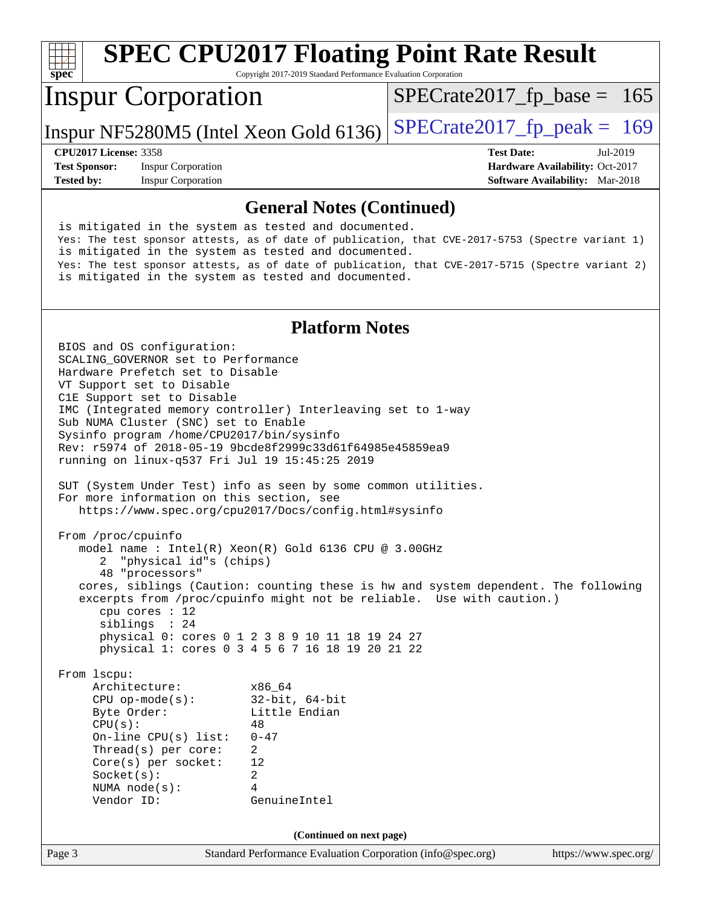#### **[spec](http://www.spec.org/) [SPEC CPU2017 Floating Point Rate Result](http://www.spec.org/auto/cpu2017/Docs/result-fields.html#SPECCPU2017FloatingPointRateResult)** Copyright 2017-2019 Standard Performance Evaluation Corporation Inspur Corporation Inspur NF5280M5 (Intel Xeon Gold 6136)  $SPECrate2017_f$  peak = 169  $SPECTate2017_fp\_base = 165$ **[CPU2017 License:](http://www.spec.org/auto/cpu2017/Docs/result-fields.html#CPU2017License)** 3358 **[Test Date:](http://www.spec.org/auto/cpu2017/Docs/result-fields.html#TestDate)** Jul-2019 **[Test Sponsor:](http://www.spec.org/auto/cpu2017/Docs/result-fields.html#TestSponsor)** Inspur Corporation **[Hardware Availability:](http://www.spec.org/auto/cpu2017/Docs/result-fields.html#HardwareAvailability)** Oct-2017 **[Tested by:](http://www.spec.org/auto/cpu2017/Docs/result-fields.html#Testedby)** Inspur Corporation **[Software Availability:](http://www.spec.org/auto/cpu2017/Docs/result-fields.html#SoftwareAvailability)** Mar-2018

#### **[General Notes \(Continued\)](http://www.spec.org/auto/cpu2017/Docs/result-fields.html#GeneralNotes)**

 is mitigated in the system as tested and documented. Yes: The test sponsor attests, as of date of publication, that CVE-2017-5753 (Spectre variant 1) is mitigated in the system as tested and documented. Yes: The test sponsor attests, as of date of publication, that CVE-2017-5715 (Spectre variant 2) is mitigated in the system as tested and documented.

### **[Platform Notes](http://www.spec.org/auto/cpu2017/Docs/result-fields.html#PlatformNotes)**

Page 3 Standard Performance Evaluation Corporation [\(info@spec.org\)](mailto:info@spec.org) <https://www.spec.org/> BIOS and OS configuration: SCALING\_GOVERNOR set to Performance Hardware Prefetch set to Disable VT Support set to Disable C1E Support set to Disable IMC (Integrated memory controller) Interleaving set to 1-way Sub NUMA Cluster (SNC) set to Enable Sysinfo program /home/CPU2017/bin/sysinfo Rev: r5974 of 2018-05-19 9bcde8f2999c33d61f64985e45859ea9 running on linux-q537 Fri Jul 19 15:45:25 2019 SUT (System Under Test) info as seen by some common utilities. For more information on this section, see <https://www.spec.org/cpu2017/Docs/config.html#sysinfo> From /proc/cpuinfo model name : Intel(R) Xeon(R) Gold 6136 CPU @ 3.00GHz 2 "physical id"s (chips) 48 "processors" cores, siblings (Caution: counting these is hw and system dependent. The following excerpts from /proc/cpuinfo might not be reliable. Use with caution.) cpu cores : 12 siblings : 24 physical 0: cores 0 1 2 3 8 9 10 11 18 19 24 27 physical 1: cores 0 3 4 5 6 7 16 18 19 20 21 22 From lscpu: Architecture: x86\_64 CPU op-mode(s): 32-bit, 64-bit Byte Order: Little Endian  $CPU(s):$  48 On-line CPU(s) list: 0-47 Thread(s) per core: 2 Core(s) per socket: 12 Socket(s): 2 NUMA node(s): 4 Vendor ID: GenuineIntel **(Continued on next page)**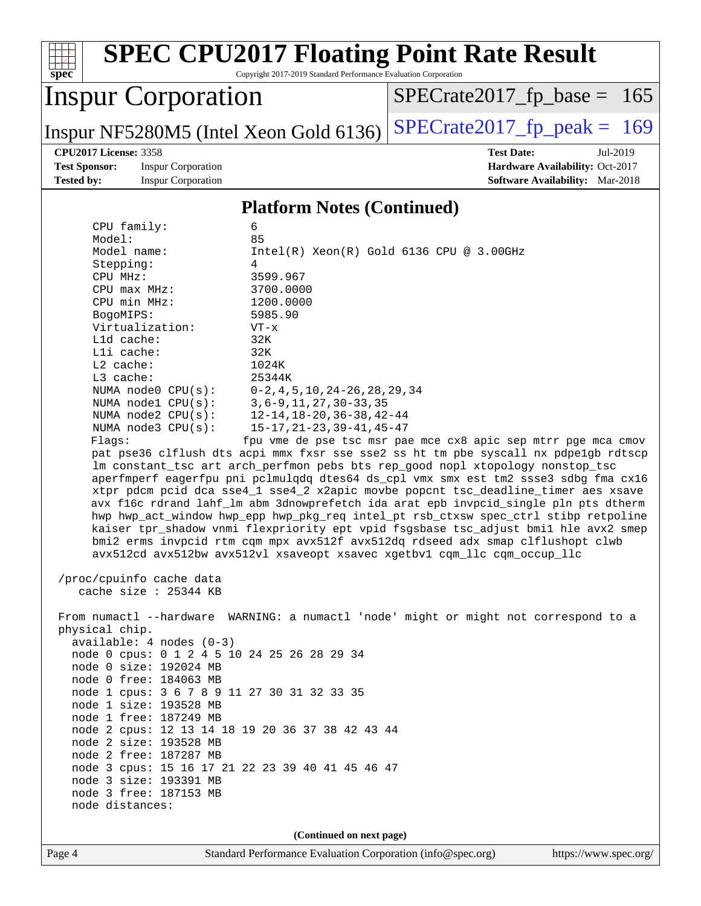| $spec^*$                                                                                                                                                                 | <b>SPEC CPU2017 Floating Point Rate Result</b><br>Copyright 2017-2019 Standard Performance Evaluation Corporation                     |                                                                           |  |  |  |  |  |  |
|--------------------------------------------------------------------------------------------------------------------------------------------------------------------------|---------------------------------------------------------------------------------------------------------------------------------------|---------------------------------------------------------------------------|--|--|--|--|--|--|
|                                                                                                                                                                          | <b>Inspur Corporation</b>                                                                                                             | $SPECrate2017_fp\_base =$<br>165                                          |  |  |  |  |  |  |
|                                                                                                                                                                          | Inspur NF5280M5 (Intel Xeon Gold 6136)                                                                                                | $SPECrate2017_fp\_peak = 169$                                             |  |  |  |  |  |  |
|                                                                                                                                                                          | <b>CPU2017 License: 3358</b>                                                                                                          | <b>Test Date:</b><br>Jul-2019                                             |  |  |  |  |  |  |
| <b>Test Sponsor:</b><br><b>Tested by:</b>                                                                                                                                | <b>Inspur Corporation</b><br><b>Inspur Corporation</b>                                                                                | Hardware Availability: Oct-2017<br><b>Software Availability:</b> Mar-2018 |  |  |  |  |  |  |
|                                                                                                                                                                          |                                                                                                                                       |                                                                           |  |  |  |  |  |  |
|                                                                                                                                                                          | <b>Platform Notes (Continued)</b>                                                                                                     |                                                                           |  |  |  |  |  |  |
|                                                                                                                                                                          | CPU family:<br>6                                                                                                                      |                                                                           |  |  |  |  |  |  |
|                                                                                                                                                                          | 85<br>Model:                                                                                                                          |                                                                           |  |  |  |  |  |  |
|                                                                                                                                                                          | Model name:<br>Stepping:<br>4                                                                                                         | Intel(R) Xeon(R) Gold 6136 CPU @ 3.00GHz                                  |  |  |  |  |  |  |
|                                                                                                                                                                          | 3599.967<br>CPU MHz:                                                                                                                  |                                                                           |  |  |  |  |  |  |
|                                                                                                                                                                          | 3700.0000<br>CPU max MHz:                                                                                                             |                                                                           |  |  |  |  |  |  |
|                                                                                                                                                                          | CPU min MHz:<br>1200.0000                                                                                                             |                                                                           |  |  |  |  |  |  |
|                                                                                                                                                                          | 5985.90<br>BogoMIPS:                                                                                                                  |                                                                           |  |  |  |  |  |  |
|                                                                                                                                                                          | Virtualization:<br>$VT - x$<br>32K<br>L1d cache:                                                                                      |                                                                           |  |  |  |  |  |  |
|                                                                                                                                                                          | Lli cache:<br>32K                                                                                                                     |                                                                           |  |  |  |  |  |  |
|                                                                                                                                                                          | L2 cache:<br>1024K                                                                                                                    |                                                                           |  |  |  |  |  |  |
|                                                                                                                                                                          | L3 cache:<br>25344K                                                                                                                   |                                                                           |  |  |  |  |  |  |
|                                                                                                                                                                          | $0-2, 4, 5, 10, 24-26, 28, 29, 34$<br>NUMA node0 CPU(s):                                                                              |                                                                           |  |  |  |  |  |  |
|                                                                                                                                                                          | $3, 6 - 9, 11, 27, 30 - 33, 35$<br>NUMA $node1$ $CPU(s):$<br>$12 - 14$ , $18 - 20$ , $36 - 38$ , $42 - 44$<br>NUMA $node2$ $CPU(s)$ : |                                                                           |  |  |  |  |  |  |
|                                                                                                                                                                          | NUMA node3 CPU(s):<br>$15 - 17, 21 - 23, 39 - 41, 45 - 47$                                                                            |                                                                           |  |  |  |  |  |  |
|                                                                                                                                                                          | Flaqs:                                                                                                                                | fpu vme de pse tsc msr pae mce cx8 apic sep mtrr pge mca cmov             |  |  |  |  |  |  |
|                                                                                                                                                                          | pat pse36 clflush dts acpi mmx fxsr sse sse2 ss ht tm pbe syscall nx pdpelgb rdtscp                                                   |                                                                           |  |  |  |  |  |  |
|                                                                                                                                                                          | lm constant_tsc art arch_perfmon pebs bts rep_good nopl xtopology nonstop_tsc                                                         |                                                                           |  |  |  |  |  |  |
| aperfmperf eagerfpu pni pclmulgdg dtes64 ds_cpl vmx smx est tm2 ssse3 sdbg fma cx16<br>xtpr pdcm pcid dca sse4_1 sse4_2 x2apic movbe popcnt tsc_deadline_timer aes xsave |                                                                                                                                       |                                                                           |  |  |  |  |  |  |
|                                                                                                                                                                          | avx f16c rdrand lahf_lm abm 3dnowprefetch ida arat epb invpcid_single pln pts dtherm                                                  |                                                                           |  |  |  |  |  |  |
|                                                                                                                                                                          | hwp hwp_act_window hwp_epp hwp_pkg_req intel_pt rsb_ctxsw spec_ctrl stibp retpoline                                                   |                                                                           |  |  |  |  |  |  |
|                                                                                                                                                                          | kaiser tpr_shadow vnmi flexpriority ept vpid fsgsbase tsc_adjust bmil hle avx2 smep                                                   |                                                                           |  |  |  |  |  |  |
|                                                                                                                                                                          | bmi2 erms invpcid rtm cqm mpx avx512f avx512dq rdseed adx smap clflushopt clwb                                                        |                                                                           |  |  |  |  |  |  |
|                                                                                                                                                                          | avx512cd avx512bw avx512vl xsaveopt xsavec xgetbvl cqm_llc cqm_occup_llc                                                              |                                                                           |  |  |  |  |  |  |
| /proc/cpuinfo cache data                                                                                                                                                 |                                                                                                                                       |                                                                           |  |  |  |  |  |  |
| cache size : 25344 KB                                                                                                                                                    |                                                                                                                                       |                                                                           |  |  |  |  |  |  |
|                                                                                                                                                                          | From numactl --hardware WARNING: a numactl 'node' might or might not correspond to a                                                  |                                                                           |  |  |  |  |  |  |
|                                                                                                                                                                          | physical chip.                                                                                                                        |                                                                           |  |  |  |  |  |  |
|                                                                                                                                                                          | $available: 4 nodes (0-3)$                                                                                                            |                                                                           |  |  |  |  |  |  |
|                                                                                                                                                                          | node 0 cpus: 0 1 2 4 5 10 24 25 26 28 29 34                                                                                           |                                                                           |  |  |  |  |  |  |
|                                                                                                                                                                          | node 0 size: 192024 MB                                                                                                                |                                                                           |  |  |  |  |  |  |
|                                                                                                                                                                          | node 0 free: 184063 MB                                                                                                                |                                                                           |  |  |  |  |  |  |
| node 1 cpus: 3 6 7 8 9 11 27 30 31 32 33 35<br>node 1 size: 193528 MB                                                                                                    |                                                                                                                                       |                                                                           |  |  |  |  |  |  |
| node 1 free: 187249 MB                                                                                                                                                   |                                                                                                                                       |                                                                           |  |  |  |  |  |  |
|                                                                                                                                                                          | node 2 cpus: 12 13 14 18 19 20 36 37 38 42 43 44                                                                                      |                                                                           |  |  |  |  |  |  |
| node 2 size: 193528 MB                                                                                                                                                   |                                                                                                                                       |                                                                           |  |  |  |  |  |  |
|                                                                                                                                                                          | node 2 free: 187287 MB                                                                                                                |                                                                           |  |  |  |  |  |  |
|                                                                                                                                                                          | node 3 cpus: 15 16 17 21 22 23 39 40 41 45 46 47                                                                                      |                                                                           |  |  |  |  |  |  |
|                                                                                                                                                                          | node 3 size: 193391 MB<br>node 3 free: 187153 MB                                                                                      |                                                                           |  |  |  |  |  |  |
|                                                                                                                                                                          | node distances:                                                                                                                       |                                                                           |  |  |  |  |  |  |
|                                                                                                                                                                          |                                                                                                                                       |                                                                           |  |  |  |  |  |  |
|                                                                                                                                                                          | (Continued on next page)                                                                                                              |                                                                           |  |  |  |  |  |  |
| Page 4                                                                                                                                                                   | Standard Performance Evaluation Corporation (info@spec.org)                                                                           | https://www.spec.org/                                                     |  |  |  |  |  |  |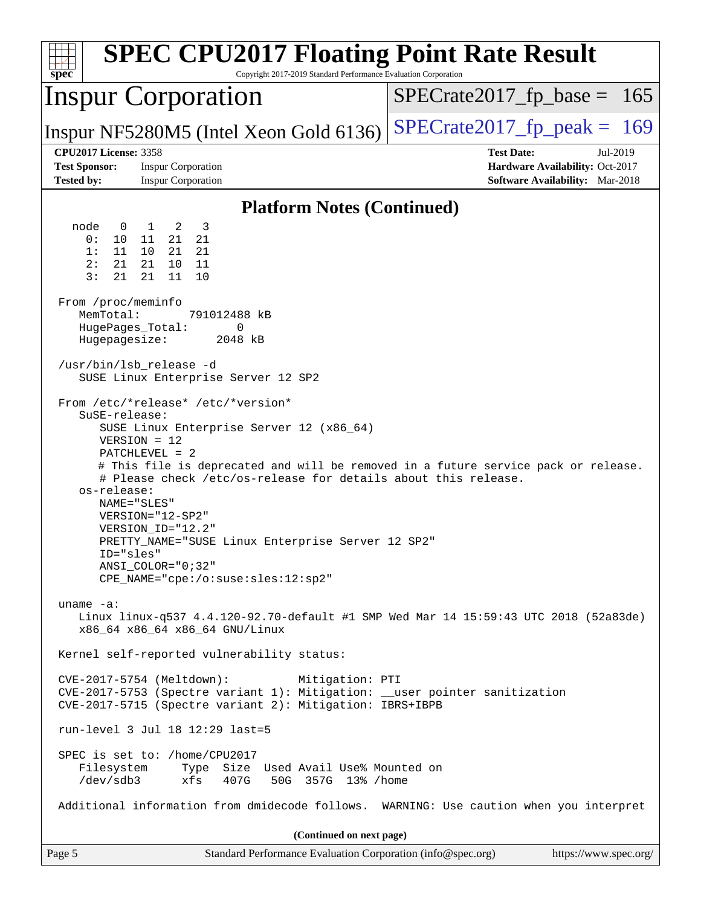| $spec^*$                                                                                                                                                                                                                                                                                                                                                                                                                                                                                                                                                                                                                                                                                           | <b>SPEC CPU2017 Floating Point Rate Result</b><br>Copyright 2017-2019 Standard Performance Evaluation Corporation |
|----------------------------------------------------------------------------------------------------------------------------------------------------------------------------------------------------------------------------------------------------------------------------------------------------------------------------------------------------------------------------------------------------------------------------------------------------------------------------------------------------------------------------------------------------------------------------------------------------------------------------------------------------------------------------------------------------|-------------------------------------------------------------------------------------------------------------------|
| <b>Inspur Corporation</b>                                                                                                                                                                                                                                                                                                                                                                                                                                                                                                                                                                                                                                                                          | $SPECTate2017_fp\_base = 165$                                                                                     |
| Inspur NF5280M5 (Intel Xeon Gold 6136)                                                                                                                                                                                                                                                                                                                                                                                                                                                                                                                                                                                                                                                             | $SPECTate2017$ _fp_peak = 169                                                                                     |
| <b>CPU2017 License: 3358</b><br><b>Test Sponsor:</b><br><b>Inspur Corporation</b><br><b>Tested by:</b><br><b>Inspur Corporation</b>                                                                                                                                                                                                                                                                                                                                                                                                                                                                                                                                                                | <b>Test Date:</b><br>Jul-2019<br>Hardware Availability: Oct-2017<br>Software Availability: Mar-2018               |
|                                                                                                                                                                                                                                                                                                                                                                                                                                                                                                                                                                                                                                                                                                    | <b>Platform Notes (Continued)</b>                                                                                 |
| node<br>2<br>3<br>$\overline{0}$<br>$\mathbf{1}$<br>0 :<br>10<br>21<br>21<br>11<br>21<br>11<br>10<br>21<br>1:<br>2:<br>21<br>21 10<br>11<br>3:<br>21<br>21<br>11<br>10<br>From /proc/meminfo<br>MemTotal:<br>791012488 kB<br>HugePages_Total:<br>0<br>Hugepagesize:<br>2048 kB<br>/usr/bin/lsb release -d<br>SUSE Linux Enterprise Server 12 SP2<br>From /etc/*release* /etc/*version*<br>SuSE-release:<br>SUSE Linux Enterprise Server 12 (x86_64)<br>$VERSION = 12$<br>PATCHLEVEL = 2<br># Please check /etc/os-release for details about this release.<br>os-release:<br>NAME="SLES"<br>VERSION="12-SP2"<br>VERSION_ID="12.2"<br>PRETTY_NAME="SUSE Linux Enterprise Server 12 SP2"<br>ID="sles" | # This file is deprecated and will be removed in a future service pack or release.                                |
| $ANSI$ _COLOR=" $0:32$ "<br>CPE_NAME="cpe:/o:suse:sles:12:sp2"                                                                                                                                                                                                                                                                                                                                                                                                                                                                                                                                                                                                                                     |                                                                                                                   |
| uname $-a$ :<br>x86_64 x86_64 x86_64 GNU/Linux                                                                                                                                                                                                                                                                                                                                                                                                                                                                                                                                                                                                                                                     | Linux linux-q537 4.4.120-92.70-default #1 SMP Wed Mar 14 15:59:43 UTC 2018 (52a83de)                              |
| Kernel self-reported vulnerability status:                                                                                                                                                                                                                                                                                                                                                                                                                                                                                                                                                                                                                                                         |                                                                                                                   |
| CVE-2017-5754 (Meltdown):<br>CVE-2017-5753 (Spectre variant 1): Mitigation: __user pointer sanitization<br>CVE-2017-5715 (Spectre variant 2): Mitigation: IBRS+IBPB                                                                                                                                                                                                                                                                                                                                                                                                                                                                                                                                | Mitigation: PTI                                                                                                   |
| run-level 3 Jul 18 12:29 last=5                                                                                                                                                                                                                                                                                                                                                                                                                                                                                                                                                                                                                                                                    |                                                                                                                   |
| SPEC is set to: /home/CPU2017<br>Type Size Used Avail Use% Mounted on<br>Filesystem<br>/dev/sdb3<br>xfs<br>407G<br>50G 357G 13% / home                                                                                                                                                                                                                                                                                                                                                                                                                                                                                                                                                             |                                                                                                                   |
|                                                                                                                                                                                                                                                                                                                                                                                                                                                                                                                                                                                                                                                                                                    | Additional information from dmidecode follows. WARNING: Use caution when you interpret                            |
|                                                                                                                                                                                                                                                                                                                                                                                                                                                                                                                                                                                                                                                                                                    | (Continued on next page)                                                                                          |
| Page 5                                                                                                                                                                                                                                                                                                                                                                                                                                                                                                                                                                                                                                                                                             | https://www.spec.org/<br>Standard Performance Evaluation Corporation (info@spec.org)                              |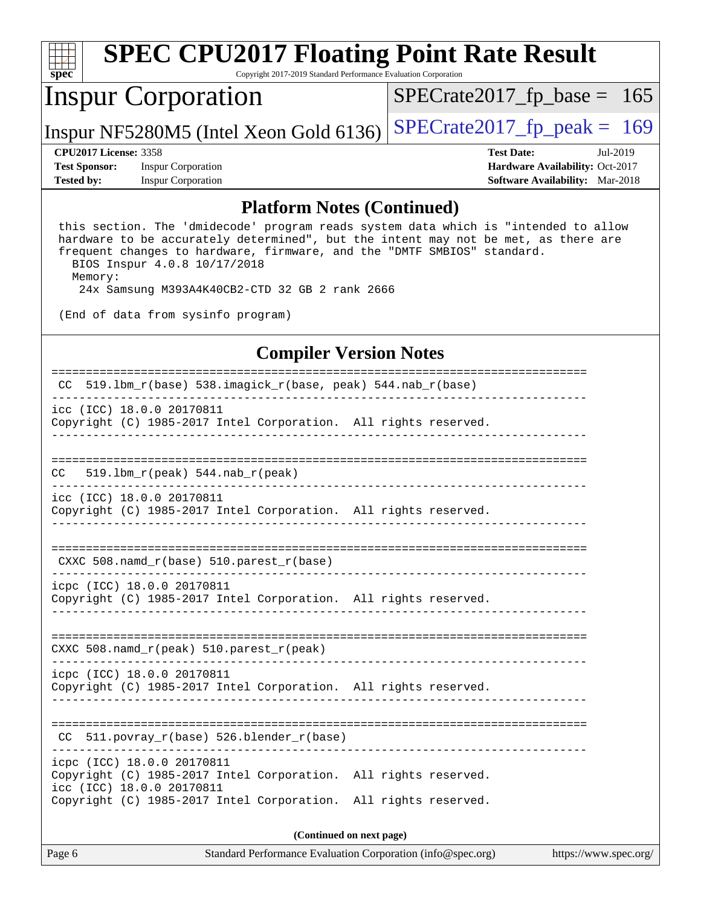| Spec                                   |  | <b>SPEC CPU2017 Floating Point Rate Result</b><br>Copyright 2017-2019 Standard Performance Evaluation Corporation |                   |          |                                        |  |
|----------------------------------------|--|-------------------------------------------------------------------------------------------------------------------|-------------------|----------|----------------------------------------|--|
| <b>Inspur Corporation</b>              |  | $SPECrate2017_fp\_base = 165$                                                                                     |                   |          |                                        |  |
| Inspur NF5280M5 (Intel Xeon Gold 6136) |  | $SPECrate2017_fp\_peak = 169$                                                                                     |                   |          |                                        |  |
| <b>CPU2017 License: 3358</b>           |  |                                                                                                                   | <b>Test Date:</b> | Jul-2019 |                                        |  |
| <b>Test Sponsor:</b>                   |  | <b>Inspur Corporation</b>                                                                                         |                   |          | Hardware Availability: Oct-2017        |  |
| <b>Tested by:</b>                      |  | <b>Inspur Corporation</b>                                                                                         |                   |          | <b>Software Availability:</b> Mar-2018 |  |
|                                        |  |                                                                                                                   |                   |          |                                        |  |

#### **[Platform Notes \(Continued\)](http://www.spec.org/auto/cpu2017/Docs/result-fields.html#PlatformNotes)**

 this section. The 'dmidecode' program reads system data which is "intended to allow hardware to be accurately determined", but the intent may not be met, as there are frequent changes to hardware, firmware, and the "DMTF SMBIOS" standard. BIOS Inspur 4.0.8 10/17/2018 Memory:

24x Samsung M393A4K40CB2-CTD 32 GB 2 rank 2666

(End of data from sysinfo program)

## **[Compiler Version Notes](http://www.spec.org/auto/cpu2017/Docs/result-fields.html#CompilerVersionNotes)**

| CC 519.1bm_r(base) 538.imagick_r(base, peak) 544.nab_r(base)                                                                                                                                  |  |  |  |  |  |
|-----------------------------------------------------------------------------------------------------------------------------------------------------------------------------------------------|--|--|--|--|--|
| icc (ICC) 18.0.0 20170811<br>Copyright (C) 1985-2017 Intel Corporation. All rights reserved.                                                                                                  |  |  |  |  |  |
|                                                                                                                                                                                               |  |  |  |  |  |
| $519.1$ bm_r(peak) $544.nab_r$ (peak)<br>CC.                                                                                                                                                  |  |  |  |  |  |
| icc (ICC) 18.0.0 20170811<br>Copyright (C) 1985-2017 Intel Corporation. All rights reserved.                                                                                                  |  |  |  |  |  |
| CXXC 508. namd $r(base)$ 510. parest $r(base)$                                                                                                                                                |  |  |  |  |  |
| icpc (ICC) 18.0.0 20170811<br>Copyright (C) 1985-2017 Intel Corporation. All rights reserved.                                                                                                 |  |  |  |  |  |
| CXXC 508. namd $r(\text{peak})$ 510. parest $r(\text{peak})$                                                                                                                                  |  |  |  |  |  |
| icpc (ICC) 18.0.0 20170811<br>Copyright (C) 1985-2017 Intel Corporation. All rights reserved.                                                                                                 |  |  |  |  |  |
| 511.povray_r(base) 526.blender_r(base)<br>CC.                                                                                                                                                 |  |  |  |  |  |
| icpc (ICC) 18.0.0 20170811<br>Copyright (C) 1985-2017 Intel Corporation. All rights reserved.<br>icc (ICC) 18.0.0 20170811<br>Copyright (C) 1985-2017 Intel Corporation. All rights reserved. |  |  |  |  |  |
| (Continued on next page)                                                                                                                                                                      |  |  |  |  |  |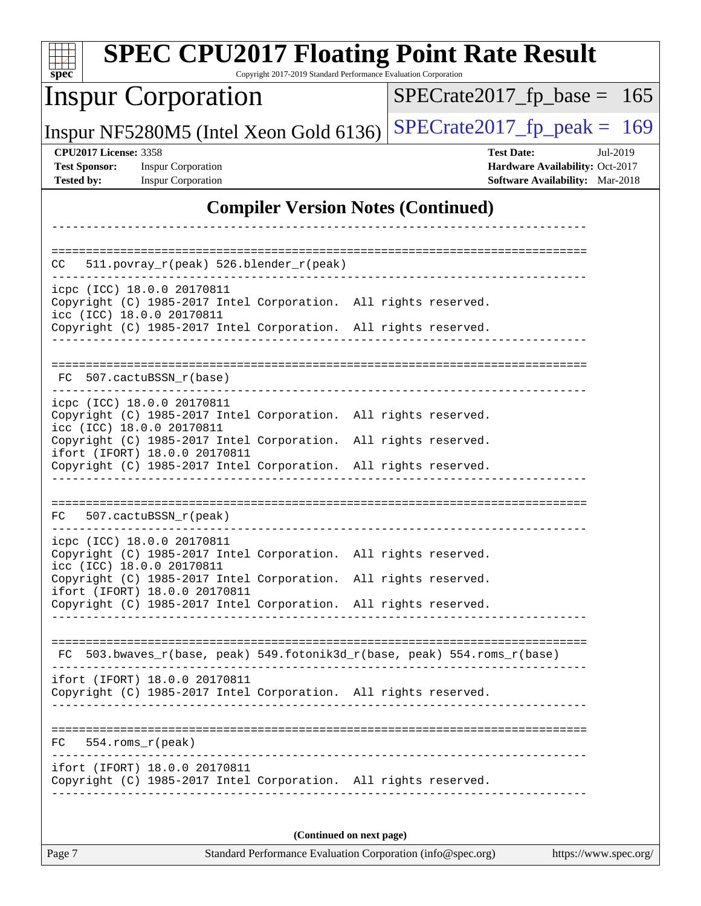| <b>SPEC CPU2017 Floating Point Rate Result</b><br>Copyright 2017-2019 Standard Performance Evaluation Corporation<br>$spec^*$ |                                                                  |  |  |  |  |  |
|-------------------------------------------------------------------------------------------------------------------------------|------------------------------------------------------------------|--|--|--|--|--|
| <b>Inspur Corporation</b>                                                                                                     | $SPECrate2017_fp\_base =$<br>165                                 |  |  |  |  |  |
| Inspur NF5280M5 (Intel Xeon Gold 6136)                                                                                        | $SPECTate2017$ _fp_peak = 169                                    |  |  |  |  |  |
| <b>CPU2017 License: 3358</b><br><b>Test Sponsor:</b><br><b>Inspur Corporation</b>                                             | <b>Test Date:</b><br>Jul-2019<br>Hardware Availability: Oct-2017 |  |  |  |  |  |
| <b>Tested by:</b><br><b>Inspur Corporation</b>                                                                                | Software Availability: Mar-2018                                  |  |  |  |  |  |
| <b>Compiler Version Notes (Continued)</b>                                                                                     |                                                                  |  |  |  |  |  |
|                                                                                                                               |                                                                  |  |  |  |  |  |
| 511.povray_r(peak) 526.blender_r(peak)<br>CC                                                                                  |                                                                  |  |  |  |  |  |
| icpc (ICC) 18.0.0 20170811                                                                                                    |                                                                  |  |  |  |  |  |
| Copyright (C) 1985-2017 Intel Corporation. All rights reserved.<br>icc (ICC) 18.0.0 20170811                                  |                                                                  |  |  |  |  |  |
| Copyright (C) 1985-2017 Intel Corporation. All rights reserved.                                                               |                                                                  |  |  |  |  |  |
|                                                                                                                               | ==================================                               |  |  |  |  |  |
| 507.cactuBSSN r(base)<br>FC.                                                                                                  |                                                                  |  |  |  |  |  |
| icpc (ICC) 18.0.0 20170811                                                                                                    |                                                                  |  |  |  |  |  |
| Copyright (C) 1985-2017 Intel Corporation. All rights reserved.<br>icc (ICC) 18.0.0 20170811                                  |                                                                  |  |  |  |  |  |
| Copyright (C) 1985-2017 Intel Corporation.<br>ifort (IFORT) 18.0.0 20170811                                                   | All rights reserved.                                             |  |  |  |  |  |
| Copyright (C) 1985-2017 Intel Corporation. All rights reserved.                                                               |                                                                  |  |  |  |  |  |
|                                                                                                                               |                                                                  |  |  |  |  |  |
| 507.cactuBSSN_r(peak)<br>FC                                                                                                   |                                                                  |  |  |  |  |  |
| icpc (ICC) 18.0.0 20170811                                                                                                    |                                                                  |  |  |  |  |  |
| Copyright (C) 1985-2017 Intel Corporation. All rights reserved.<br>icc (ICC) 18.0.0 20170811                                  |                                                                  |  |  |  |  |  |
| Copyright (C) 1985-2017 Intel Corporation. All rights reserved.                                                               |                                                                  |  |  |  |  |  |
| ifort (IFORT) 18.0.0 20170811<br>Copyright (C) 1985-2017 Intel Corporation. All rights reserved.                              |                                                                  |  |  |  |  |  |
|                                                                                                                               |                                                                  |  |  |  |  |  |
| FC 503.bwaves_r(base, peak) 549.fotonik3d_r(base, peak) 554.roms_r(base)                                                      |                                                                  |  |  |  |  |  |
| ifort (IFORT) 18.0.0 20170811                                                                                                 |                                                                  |  |  |  |  |  |
| Copyright (C) 1985-2017 Intel Corporation. All rights reserved.                                                               |                                                                  |  |  |  |  |  |
|                                                                                                                               |                                                                  |  |  |  |  |  |
| $FC 554.rows_r (peak)$                                                                                                        |                                                                  |  |  |  |  |  |
| ifort (IFORT) 18.0.0 20170811                                                                                                 |                                                                  |  |  |  |  |  |
| Copyright (C) 1985-2017 Intel Corporation. All rights reserved.                                                               |                                                                  |  |  |  |  |  |
|                                                                                                                               |                                                                  |  |  |  |  |  |
| (Continued on next page)                                                                                                      |                                                                  |  |  |  |  |  |
| Page 7<br>Standard Performance Evaluation Corporation (info@spec.org)                                                         | https://www.spec.org/                                            |  |  |  |  |  |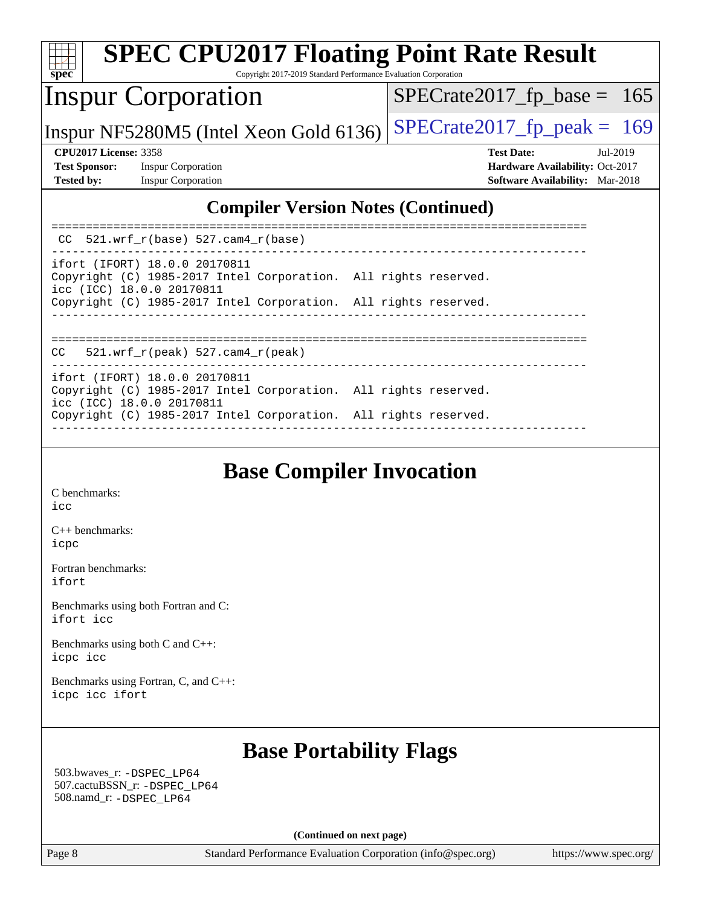| <b>SPEC CPU2017 Floating Point Rate Result</b><br>$\overline{\text{spec}^*}$<br>Copyright 2017-2019 Standard Performance Evaluation Corporation |                                                                           |
|-------------------------------------------------------------------------------------------------------------------------------------------------|---------------------------------------------------------------------------|
| <b>Inspur Corporation</b>                                                                                                                       | $SPECrate2017_fp\_base = 165$                                             |
| Inspur NF5280M5 (Intel Xeon Gold 6136)                                                                                                          | $SPECrate2017_fp\_peak = 169$                                             |
| <b>CPU2017 License: 3358</b>                                                                                                                    | <b>Test Date:</b><br>Jul-2019                                             |
| <b>Test Sponsor:</b><br><b>Inspur Corporation</b><br><b>Tested by:</b><br><b>Inspur Corporation</b>                                             | Hardware Availability: Oct-2017<br><b>Software Availability:</b> Mar-2018 |
| <b>Compiler Version Notes (Continued)</b>                                                                                                       |                                                                           |
| $CC$ 521.wrf_r(base) 527.cam4_r(base)                                                                                                           |                                                                           |
| ifort (IFORT) 18.0.0 20170811<br>Copyright (C) 1985-2017 Intel Corporation. All rights reserved.<br>icc (ICC) 18.0.0 20170811                   |                                                                           |
| Copyright (C) 1985-2017 Intel Corporation. All rights reserved.                                                                                 |                                                                           |
| 521.wrf $r(\text{peak})$ 527.cam4 $r(\text{peak})$<br>CC.                                                                                       |                                                                           |
| ifort (IFORT) 18.0.0 20170811<br>Copyright (C) 1985-2017 Intel Corporation. All rights reserved.<br>icc (ICC) 18.0.0 20170811                   |                                                                           |
| Copyright (C) 1985-2017 Intel Corporation. All rights reserved.                                                                                 |                                                                           |

# **[Base Compiler Invocation](http://www.spec.org/auto/cpu2017/Docs/result-fields.html#BaseCompilerInvocation)**

------------------------------------------------------------------------------

[C benchmarks](http://www.spec.org/auto/cpu2017/Docs/result-fields.html#Cbenchmarks): [icc](http://www.spec.org/cpu2017/results/res2019q3/cpu2017-20190723-16416.flags.html#user_CCbase_intel_icc_18.0_66fc1ee009f7361af1fbd72ca7dcefbb700085f36577c54f309893dd4ec40d12360134090235512931783d35fd58c0460139e722d5067c5574d8eaf2b3e37e92)

[C++ benchmarks:](http://www.spec.org/auto/cpu2017/Docs/result-fields.html#CXXbenchmarks) [icpc](http://www.spec.org/cpu2017/results/res2019q3/cpu2017-20190723-16416.flags.html#user_CXXbase_intel_icpc_18.0_c510b6838c7f56d33e37e94d029a35b4a7bccf4766a728ee175e80a419847e808290a9b78be685c44ab727ea267ec2f070ec5dc83b407c0218cded6866a35d07)

[Fortran benchmarks](http://www.spec.org/auto/cpu2017/Docs/result-fields.html#Fortranbenchmarks): [ifort](http://www.spec.org/cpu2017/results/res2019q3/cpu2017-20190723-16416.flags.html#user_FCbase_intel_ifort_18.0_8111460550e3ca792625aed983ce982f94888b8b503583aa7ba2b8303487b4d8a21a13e7191a45c5fd58ff318f48f9492884d4413fa793fd88dd292cad7027ca)

[Benchmarks using both Fortran and C](http://www.spec.org/auto/cpu2017/Docs/result-fields.html#BenchmarksusingbothFortranandC): [ifort](http://www.spec.org/cpu2017/results/res2019q3/cpu2017-20190723-16416.flags.html#user_CC_FCbase_intel_ifort_18.0_8111460550e3ca792625aed983ce982f94888b8b503583aa7ba2b8303487b4d8a21a13e7191a45c5fd58ff318f48f9492884d4413fa793fd88dd292cad7027ca) [icc](http://www.spec.org/cpu2017/results/res2019q3/cpu2017-20190723-16416.flags.html#user_CC_FCbase_intel_icc_18.0_66fc1ee009f7361af1fbd72ca7dcefbb700085f36577c54f309893dd4ec40d12360134090235512931783d35fd58c0460139e722d5067c5574d8eaf2b3e37e92)

[Benchmarks using both C and C++](http://www.spec.org/auto/cpu2017/Docs/result-fields.html#BenchmarksusingbothCandCXX): [icpc](http://www.spec.org/cpu2017/results/res2019q3/cpu2017-20190723-16416.flags.html#user_CC_CXXbase_intel_icpc_18.0_c510b6838c7f56d33e37e94d029a35b4a7bccf4766a728ee175e80a419847e808290a9b78be685c44ab727ea267ec2f070ec5dc83b407c0218cded6866a35d07) [icc](http://www.spec.org/cpu2017/results/res2019q3/cpu2017-20190723-16416.flags.html#user_CC_CXXbase_intel_icc_18.0_66fc1ee009f7361af1fbd72ca7dcefbb700085f36577c54f309893dd4ec40d12360134090235512931783d35fd58c0460139e722d5067c5574d8eaf2b3e37e92)

[Benchmarks using Fortran, C, and C++:](http://www.spec.org/auto/cpu2017/Docs/result-fields.html#BenchmarksusingFortranCandCXX) [icpc](http://www.spec.org/cpu2017/results/res2019q3/cpu2017-20190723-16416.flags.html#user_CC_CXX_FCbase_intel_icpc_18.0_c510b6838c7f56d33e37e94d029a35b4a7bccf4766a728ee175e80a419847e808290a9b78be685c44ab727ea267ec2f070ec5dc83b407c0218cded6866a35d07) [icc](http://www.spec.org/cpu2017/results/res2019q3/cpu2017-20190723-16416.flags.html#user_CC_CXX_FCbase_intel_icc_18.0_66fc1ee009f7361af1fbd72ca7dcefbb700085f36577c54f309893dd4ec40d12360134090235512931783d35fd58c0460139e722d5067c5574d8eaf2b3e37e92) [ifort](http://www.spec.org/cpu2017/results/res2019q3/cpu2017-20190723-16416.flags.html#user_CC_CXX_FCbase_intel_ifort_18.0_8111460550e3ca792625aed983ce982f94888b8b503583aa7ba2b8303487b4d8a21a13e7191a45c5fd58ff318f48f9492884d4413fa793fd88dd292cad7027ca)

## **[Base Portability Flags](http://www.spec.org/auto/cpu2017/Docs/result-fields.html#BasePortabilityFlags)**

 503.bwaves\_r: [-DSPEC\\_LP64](http://www.spec.org/cpu2017/results/res2019q3/cpu2017-20190723-16416.flags.html#suite_basePORTABILITY503_bwaves_r_DSPEC_LP64) 507.cactuBSSN\_r: [-DSPEC\\_LP64](http://www.spec.org/cpu2017/results/res2019q3/cpu2017-20190723-16416.flags.html#suite_basePORTABILITY507_cactuBSSN_r_DSPEC_LP64) 508.namd\_r: [-DSPEC\\_LP64](http://www.spec.org/cpu2017/results/res2019q3/cpu2017-20190723-16416.flags.html#suite_basePORTABILITY508_namd_r_DSPEC_LP64)

**(Continued on next page)**

Page 8 Standard Performance Evaluation Corporation [\(info@spec.org\)](mailto:info@spec.org) <https://www.spec.org/>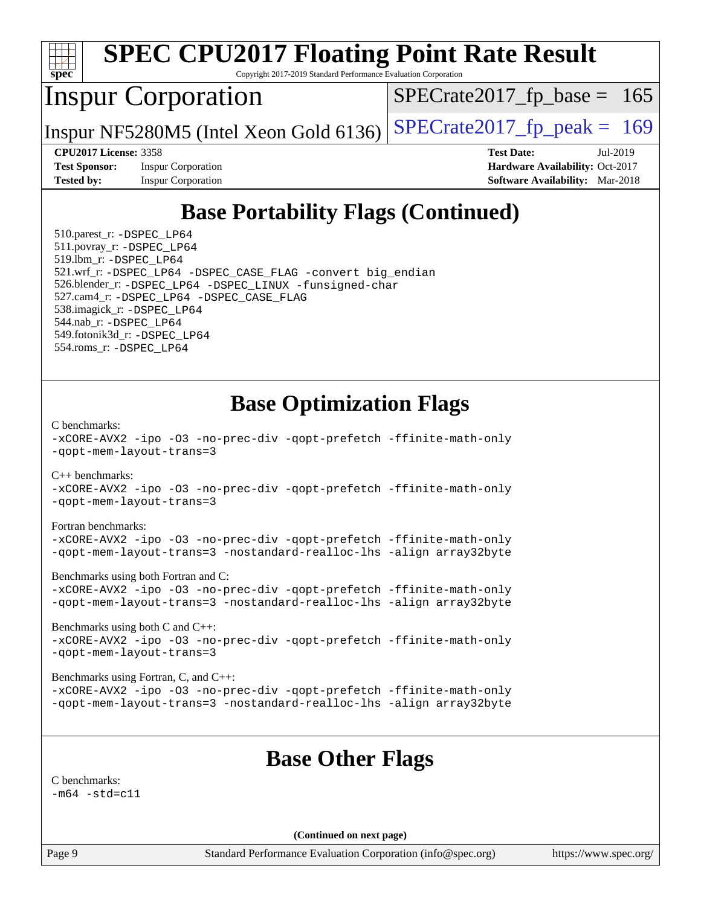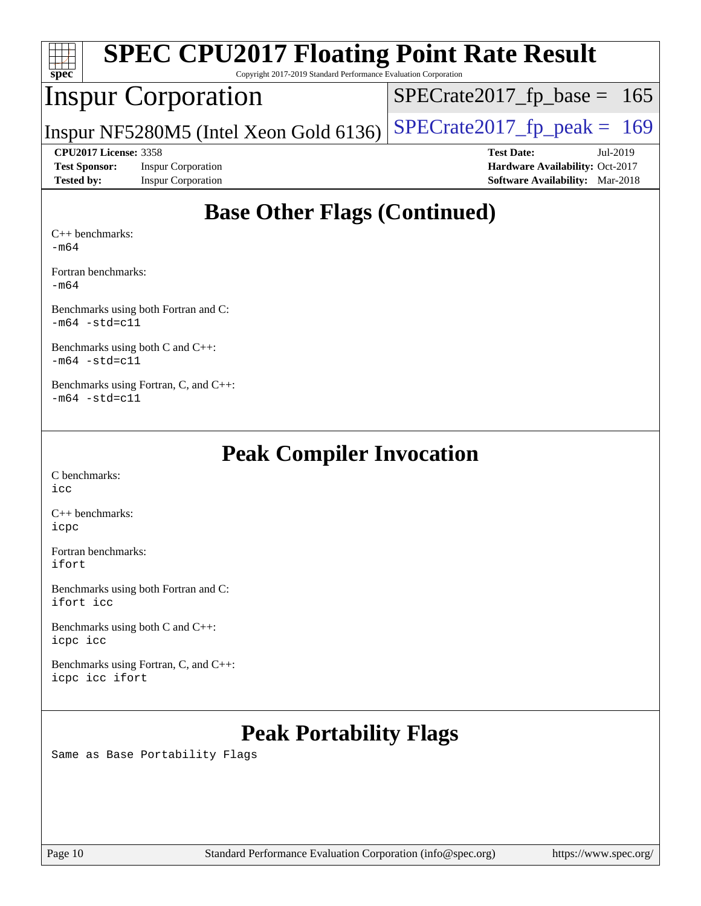| <b>SPEC CPU2017 Floating Point Rate Result</b><br>$Spec^*$<br>Copyright 2017-2019 Standard Performance Evaluation Corporation |                                        |  |  |  |  |  |
|-------------------------------------------------------------------------------------------------------------------------------|----------------------------------------|--|--|--|--|--|
| <b>Inspur Corporation</b>                                                                                                     | $SPECTate2017_fp\_base = 165$          |  |  |  |  |  |
| Inspur NF5280M5 (Intel Xeon Gold 6136)                                                                                        | $SPECrate2017_fp\_peak = 169$          |  |  |  |  |  |
| <b>CPU2017 License: 3358</b>                                                                                                  | <b>Test Date:</b><br>Jul-2019          |  |  |  |  |  |
|                                                                                                                               | Hardware Availability: Oct-2017        |  |  |  |  |  |
| <b>Test Sponsor:</b><br><b>Inspur Corporation</b>                                                                             |                                        |  |  |  |  |  |
| <b>Inspur Corporation</b><br><b>Tested by:</b>                                                                                | <b>Software Availability:</b> Mar-2018 |  |  |  |  |  |

[Fortran benchmarks](http://www.spec.org/auto/cpu2017/Docs/result-fields.html#Fortranbenchmarks):

[-m64](http://www.spec.org/cpu2017/results/res2019q3/cpu2017-20190723-16416.flags.html#user_FCbase_intel_intel64_18.0_af43caccfc8ded86e7699f2159af6efc7655f51387b94da716254467f3c01020a5059329e2569e4053f409e7c9202a7efc638f7a6d1ffb3f52dea4a3e31d82ab)

[Benchmarks using both Fortran and C](http://www.spec.org/auto/cpu2017/Docs/result-fields.html#BenchmarksusingbothFortranandC): [-m64](http://www.spec.org/cpu2017/results/res2019q3/cpu2017-20190723-16416.flags.html#user_CC_FCbase_intel_intel64_18.0_af43caccfc8ded86e7699f2159af6efc7655f51387b94da716254467f3c01020a5059329e2569e4053f409e7c9202a7efc638f7a6d1ffb3f52dea4a3e31d82ab) [-std=c11](http://www.spec.org/cpu2017/results/res2019q3/cpu2017-20190723-16416.flags.html#user_CC_FCbase_intel_compiler_c11_mode_0e1c27790398a4642dfca32ffe6c27b5796f9c2d2676156f2e42c9c44eaad0c049b1cdb667a270c34d979996257aeb8fc440bfb01818dbc9357bd9d174cb8524)

[Benchmarks using both C and C++](http://www.spec.org/auto/cpu2017/Docs/result-fields.html#BenchmarksusingbothCandCXX): [-m64](http://www.spec.org/cpu2017/results/res2019q3/cpu2017-20190723-16416.flags.html#user_CC_CXXbase_intel_intel64_18.0_af43caccfc8ded86e7699f2159af6efc7655f51387b94da716254467f3c01020a5059329e2569e4053f409e7c9202a7efc638f7a6d1ffb3f52dea4a3e31d82ab) [-std=c11](http://www.spec.org/cpu2017/results/res2019q3/cpu2017-20190723-16416.flags.html#user_CC_CXXbase_intel_compiler_c11_mode_0e1c27790398a4642dfca32ffe6c27b5796f9c2d2676156f2e42c9c44eaad0c049b1cdb667a270c34d979996257aeb8fc440bfb01818dbc9357bd9d174cb8524)

[Benchmarks using Fortran, C, and C++:](http://www.spec.org/auto/cpu2017/Docs/result-fields.html#BenchmarksusingFortranCandCXX)  $-m64$   $-std=cl1$ 

## **[Peak Compiler Invocation](http://www.spec.org/auto/cpu2017/Docs/result-fields.html#PeakCompilerInvocation)**

[C benchmarks](http://www.spec.org/auto/cpu2017/Docs/result-fields.html#Cbenchmarks): [icc](http://www.spec.org/cpu2017/results/res2019q3/cpu2017-20190723-16416.flags.html#user_CCpeak_intel_icc_18.0_66fc1ee009f7361af1fbd72ca7dcefbb700085f36577c54f309893dd4ec40d12360134090235512931783d35fd58c0460139e722d5067c5574d8eaf2b3e37e92)

[C++ benchmarks:](http://www.spec.org/auto/cpu2017/Docs/result-fields.html#CXXbenchmarks) [icpc](http://www.spec.org/cpu2017/results/res2019q3/cpu2017-20190723-16416.flags.html#user_CXXpeak_intel_icpc_18.0_c510b6838c7f56d33e37e94d029a35b4a7bccf4766a728ee175e80a419847e808290a9b78be685c44ab727ea267ec2f070ec5dc83b407c0218cded6866a35d07)

[Fortran benchmarks](http://www.spec.org/auto/cpu2017/Docs/result-fields.html#Fortranbenchmarks): [ifort](http://www.spec.org/cpu2017/results/res2019q3/cpu2017-20190723-16416.flags.html#user_FCpeak_intel_ifort_18.0_8111460550e3ca792625aed983ce982f94888b8b503583aa7ba2b8303487b4d8a21a13e7191a45c5fd58ff318f48f9492884d4413fa793fd88dd292cad7027ca)

[Benchmarks using both Fortran and C](http://www.spec.org/auto/cpu2017/Docs/result-fields.html#BenchmarksusingbothFortranandC): [ifort](http://www.spec.org/cpu2017/results/res2019q3/cpu2017-20190723-16416.flags.html#user_CC_FCpeak_intel_ifort_18.0_8111460550e3ca792625aed983ce982f94888b8b503583aa7ba2b8303487b4d8a21a13e7191a45c5fd58ff318f48f9492884d4413fa793fd88dd292cad7027ca) [icc](http://www.spec.org/cpu2017/results/res2019q3/cpu2017-20190723-16416.flags.html#user_CC_FCpeak_intel_icc_18.0_66fc1ee009f7361af1fbd72ca7dcefbb700085f36577c54f309893dd4ec40d12360134090235512931783d35fd58c0460139e722d5067c5574d8eaf2b3e37e92)

[Benchmarks using both C and C++](http://www.spec.org/auto/cpu2017/Docs/result-fields.html#BenchmarksusingbothCandCXX): [icpc](http://www.spec.org/cpu2017/results/res2019q3/cpu2017-20190723-16416.flags.html#user_CC_CXXpeak_intel_icpc_18.0_c510b6838c7f56d33e37e94d029a35b4a7bccf4766a728ee175e80a419847e808290a9b78be685c44ab727ea267ec2f070ec5dc83b407c0218cded6866a35d07) [icc](http://www.spec.org/cpu2017/results/res2019q3/cpu2017-20190723-16416.flags.html#user_CC_CXXpeak_intel_icc_18.0_66fc1ee009f7361af1fbd72ca7dcefbb700085f36577c54f309893dd4ec40d12360134090235512931783d35fd58c0460139e722d5067c5574d8eaf2b3e37e92)

[Benchmarks using Fortran, C, and C++:](http://www.spec.org/auto/cpu2017/Docs/result-fields.html#BenchmarksusingFortranCandCXX) [icpc](http://www.spec.org/cpu2017/results/res2019q3/cpu2017-20190723-16416.flags.html#user_CC_CXX_FCpeak_intel_icpc_18.0_c510b6838c7f56d33e37e94d029a35b4a7bccf4766a728ee175e80a419847e808290a9b78be685c44ab727ea267ec2f070ec5dc83b407c0218cded6866a35d07) [icc](http://www.spec.org/cpu2017/results/res2019q3/cpu2017-20190723-16416.flags.html#user_CC_CXX_FCpeak_intel_icc_18.0_66fc1ee009f7361af1fbd72ca7dcefbb700085f36577c54f309893dd4ec40d12360134090235512931783d35fd58c0460139e722d5067c5574d8eaf2b3e37e92) [ifort](http://www.spec.org/cpu2017/results/res2019q3/cpu2017-20190723-16416.flags.html#user_CC_CXX_FCpeak_intel_ifort_18.0_8111460550e3ca792625aed983ce982f94888b8b503583aa7ba2b8303487b4d8a21a13e7191a45c5fd58ff318f48f9492884d4413fa793fd88dd292cad7027ca)

# **[Peak Portability Flags](http://www.spec.org/auto/cpu2017/Docs/result-fields.html#PeakPortabilityFlags)**

Same as Base Portability Flags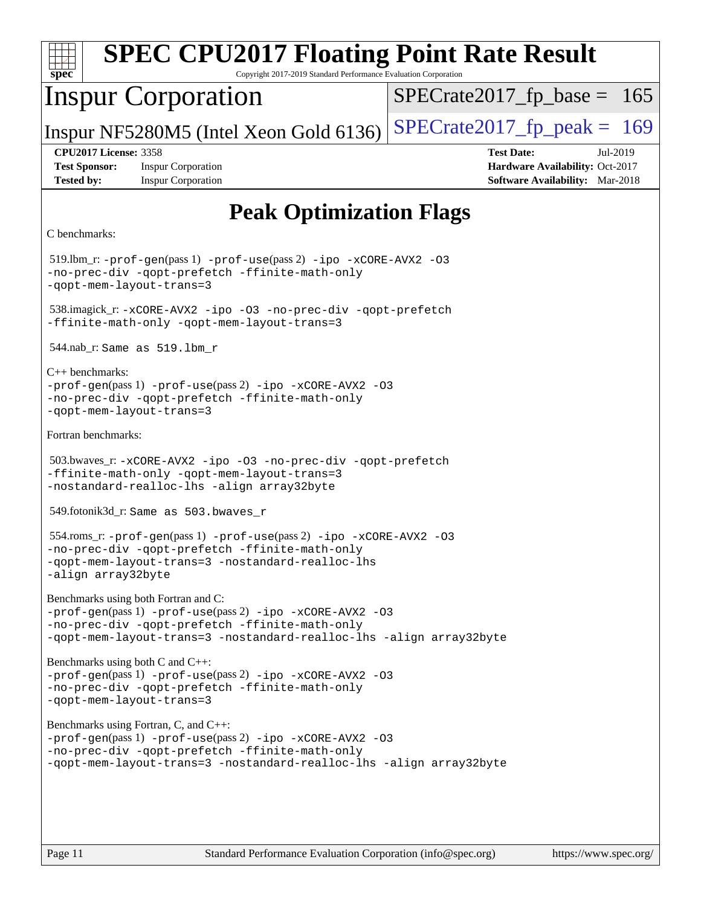| <b>SPEC CPU2017 Floating Point Rate Result</b><br>Spec<br>Copyright 2017-2019 Standard Performance Evaluation Corporation                                                                                                  |                                                                                                     |  |  |  |  |  |
|----------------------------------------------------------------------------------------------------------------------------------------------------------------------------------------------------------------------------|-----------------------------------------------------------------------------------------------------|--|--|--|--|--|
| <b>Inspur Corporation</b>                                                                                                                                                                                                  | $SPECrate2017_fp\_base = 165$                                                                       |  |  |  |  |  |
| Inspur NF5280M5 (Intel Xeon Gold 6136)                                                                                                                                                                                     | $SPECrate2017_fp\_peak = 169$                                                                       |  |  |  |  |  |
| <b>CPU2017 License: 3358</b><br><b>Test Sponsor:</b><br><b>Inspur Corporation</b><br><b>Inspur Corporation</b><br><b>Tested by:</b>                                                                                        | <b>Test Date:</b><br>Jul-2019<br>Hardware Availability: Oct-2017<br>Software Availability: Mar-2018 |  |  |  |  |  |
| <b>Peak Optimization Flags</b>                                                                                                                                                                                             |                                                                                                     |  |  |  |  |  |
| C benchmarks:                                                                                                                                                                                                              |                                                                                                     |  |  |  |  |  |
| 519.lbm_r: -prof-gen(pass 1) -prof-use(pass 2) -ipo -xCORE-AVX2 -03<br>-no-prec-div -qopt-prefetch -ffinite-math-only<br>-qopt-mem-layout-trans=3                                                                          |                                                                                                     |  |  |  |  |  |
| 538.imagick_r: -xCORE-AVX2 -ipo -03 -no-prec-div -qopt-prefetch<br>-ffinite-math-only -qopt-mem-layout-trans=3                                                                                                             |                                                                                                     |  |  |  |  |  |
| $544.nab_r$ : Same as $519.lbm_r$                                                                                                                                                                                          |                                                                                                     |  |  |  |  |  |
| $C_{++}$ benchmarks:<br>-prof-gen(pass 1) -prof-use(pass 2) -ipo -xCORE-AVX2 -03<br>-no-prec-div -qopt-prefetch -ffinite-math-only<br>-qopt-mem-layout-trans=3                                                             |                                                                                                     |  |  |  |  |  |
| Fortran benchmarks:                                                                                                                                                                                                        |                                                                                                     |  |  |  |  |  |
| 503.bwaves_r: -xCORE-AVX2 -ipo -03 -no-prec-div -qopt-prefetch<br>-ffinite-math-only -qopt-mem-layout-trans=3<br>-nostandard-realloc-lhs -align array32byte                                                                |                                                                                                     |  |  |  |  |  |
| 549.fotonik3d_r: Same as 503.bwaves_r                                                                                                                                                                                      |                                                                                                     |  |  |  |  |  |
| 554.roms_r: -prof-gen(pass 1) -prof-use(pass 2) -ipo -xCORE-AVX2 -03<br>-no-prec-div -qopt-prefetch -ffinite-math-only<br>-qopt-mem-layout-trans=3 -nostandard-realloc-lhs<br>-align array32byte                           |                                                                                                     |  |  |  |  |  |
| Benchmarks using both Fortran and C:<br>-prof-gen(pass 1) -prof-use(pass 2) -ipo -xCORE-AVX2 -03<br>-no-prec-div -qopt-prefetch -ffinite-math-only<br>-qopt-mem-layout-trans=3 -nostandard-realloc-lhs -align array32byte  |                                                                                                     |  |  |  |  |  |
| Benchmarks using both C and C++:<br>-prof-gen(pass 1) -prof-use(pass 2) -ipo -xCORE-AVX2 -03<br>-no-prec-div -qopt-prefetch -ffinite-math-only<br>-qopt-mem-layout-trans=3                                                 |                                                                                                     |  |  |  |  |  |
| Benchmarks using Fortran, C, and C++:<br>-prof-gen(pass 1) -prof-use(pass 2) -ipo -xCORE-AVX2 -03<br>-no-prec-div -qopt-prefetch -ffinite-math-only<br>-qopt-mem-layout-trans=3 -nostandard-realloc-lhs -align array32byte |                                                                                                     |  |  |  |  |  |
| Page 11<br>Standard Performance Evaluation Corporation (info@spec.org)                                                                                                                                                     | https://www.spec.org/                                                                               |  |  |  |  |  |